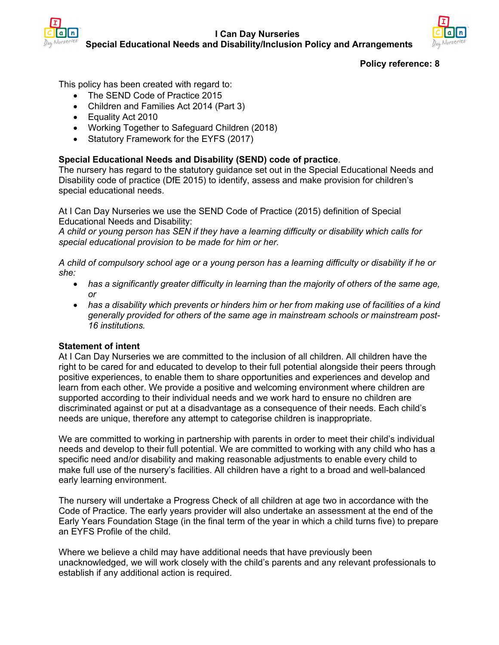

#### **Policy reference: 8**

This policy has been created with regard to:

- The SEND Code of Practice 2015
- Children and Families Act 2014 (Part 3)
- Equality Act 2010
- Working Together to Safeguard Children (2018)
- Statutory Framework for the EYFS (2017)

#### **Special Educational Needs and Disability (SEND) code of practice**.

The nursery has regard to the statutory guidance set out in the Special Educational Needs and Disability code of practice (DfE 2015) to identify, assess and make provision for children's special educational needs.

At I Can Day Nurseries we use the SEND Code of Practice (2015) definition of Special Educational Needs and Disability:

*A child or young person has SEN if they have a learning difficulty or disability which calls for special educational provision to be made for him or her.*

*A child of compulsory school age or a young person has a learning difficulty or disability if he or she:*

- *has a significantly greater difficulty in learning than the majority of others of the same age, or*
- *has a disability which prevents or hinders him or her from making use of facilities of a kind generally provided for others of the same age in mainstream schools or mainstream post-16 institutions.*

#### **Statement of intent**

At I Can Day Nurseries we are committed to the inclusion of all children. All children have the right to be cared for and educated to develop to their full potential alongside their peers through positive experiences, to enable them to share opportunities and experiences and develop and learn from each other. We provide a positive and welcoming environment where children are supported according to their individual needs and we work hard to ensure no children are discriminated against or put at a disadvantage as a consequence of their needs. Each child's needs are unique, therefore any attempt to categorise children is inappropriate.

We are committed to working in partnership with parents in order to meet their child's individual needs and develop to their full potential. We are committed to working with any child who has a specific need and/or disability and making reasonable adjustments to enable every child to make full use of the nursery's facilities. All children have a right to a broad and well-balanced early learning environment.

The nursery will undertake a Progress Check of all children at age two in accordance with the Code of Practice. The early years provider will also undertake an assessment at the end of the Early Years Foundation Stage (in the final term of the year in which a child turns five) to prepare an EYFS Profile of the child.

Where we believe a child may have additional needs that have previously been unacknowledged, we will work closely with the child's parents and any relevant professionals to establish if any additional action is required.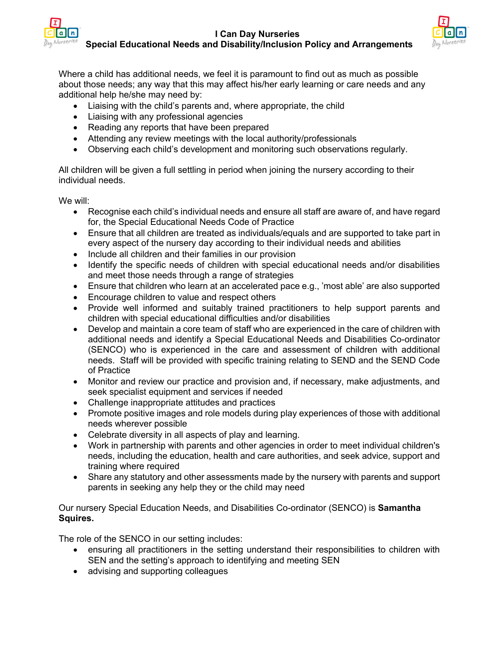

Where a child has additional needs, we feel it is paramount to find out as much as possible about those needs; any way that this may affect his/her early learning or care needs and any additional help he/she may need by:

- Liaising with the child's parents and, where appropriate, the child
- Liaising with any professional agencies
- Reading any reports that have been prepared
- Attending any review meetings with the local authority/professionals
- Observing each child's development and monitoring such observations regularly.

All children will be given a full settling in period when joining the nursery according to their individual needs.

We will:

- Recognise each child's individual needs and ensure all staff are aware of, and have regard for, the Special Educational Needs Code of Practice
- Ensure that all children are treated as individuals/equals and are supported to take part in every aspect of the nursery day according to their individual needs and abilities
- Include all children and their families in our provision
- Identify the specific needs of children with special educational needs and/or disabilities and meet those needs through a range of strategies
- Ensure that children who learn at an accelerated pace e.g., 'most able' are also supported
- Encourage children to value and respect others
- Provide well informed and suitably trained practitioners to help support parents and children with special educational difficulties and/or disabilities
- Develop and maintain a core team of staff who are experienced in the care of children with additional needs and identify a Special Educational Needs and Disabilities Co-ordinator (SENCO) who is experienced in the care and assessment of children with additional needs. Staff will be provided with specific training relating to SEND and the SEND Code of Practice
- Monitor and review our practice and provision and, if necessary, make adjustments, and seek specialist equipment and services if needed
- Challenge inappropriate attitudes and practices
- Promote positive images and role models during play experiences of those with additional needs wherever possible
- Celebrate diversity in all aspects of play and learning.
- Work in partnership with parents and other agencies in order to meet individual children's needs, including the education, health and care authorities, and seek advice, support and training where required
- Share any statutory and other assessments made by the nursery with parents and support parents in seeking any help they or the child may need

Our nursery Special Education Needs, and Disabilities Co-ordinator (SENCO) is **Samantha Squires.**

The role of the SENCO in our setting includes:

- ensuring all practitioners in the setting understand their responsibilities to children with SEN and the setting's approach to identifying and meeting SEN
- advising and supporting colleagues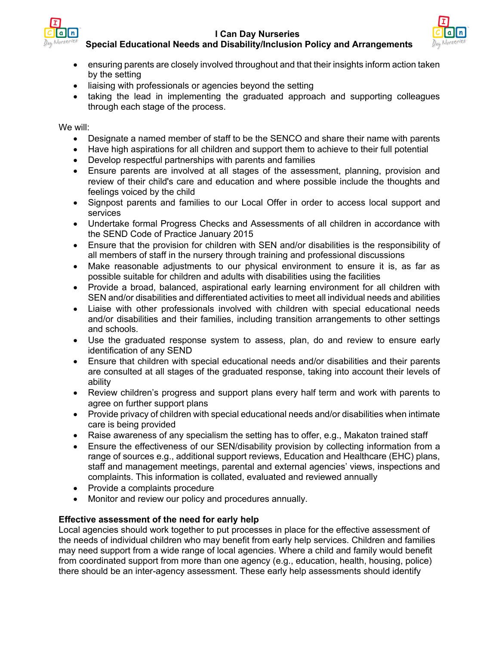#### **I Can Day Nurseries**





**Special Educational Needs and Disability/Inclusion Policy and Arrangements**

- ensuring parents are closely involved throughout and that their insights inform action taken by the setting
- liaising with professionals or agencies beyond the setting
- taking the lead in implementing the graduated approach and supporting colleagues through each stage of the process.

We will:

- Designate a named member of staff to be the SENCO and share their name with parents
- Have high aspirations for all children and support them to achieve to their full potential
- Develop respectful partnerships with parents and families
- Ensure parents are involved at all stages of the assessment, planning, provision and review of their child's care and education and where possible include the thoughts and feelings voiced by the child
- Signpost parents and families to our Local Offer in order to access local support and services
- Undertake formal Progress Checks and Assessments of all children in accordance with the SEND Code of Practice January 2015
- Ensure that the provision for children with SEN and/or disabilities is the responsibility of all members of staff in the nursery through training and professional discussions
- Make reasonable adjustments to our physical environment to ensure it is, as far as possible suitable for children and adults with disabilities using the facilities
- Provide a broad, balanced, aspirational early learning environment for all children with SEN and/or disabilities and differentiated activities to meet all individual needs and abilities
- Liaise with other professionals involved with children with special educational needs and/or disabilities and their families, including transition arrangements to other settings and schools.
- Use the graduated response system to assess, plan, do and review to ensure early identification of any SEND
- Ensure that children with special educational needs and/or disabilities and their parents are consulted at all stages of the graduated response, taking into account their levels of ability
- Review children's progress and support plans every half term and work with parents to agree on further support plans
- Provide privacy of children with special educational needs and/or disabilities when intimate care is being provided
- Raise awareness of any specialism the setting has to offer, e.g., Makaton trained staff
- Ensure the effectiveness of our SEN/disability provision by collecting information from a range of sources e.g., additional support reviews, Education and Healthcare (EHC) plans, staff and management meetings, parental and external agencies' views, inspections and complaints. This information is collated, evaluated and reviewed annually
- Provide a complaints procedure
- Monitor and review our policy and procedures annually.

## **Effective assessment of the need for early help**

Local agencies should work together to put processes in place for the effective assessment of the needs of individual children who may benefit from early help services. Children and families may need support from a wide range of local agencies. Where a child and family would benefit from coordinated support from more than one agency (e.g., education, health, housing, police) there should be an inter-agency assessment. These early help assessments should identify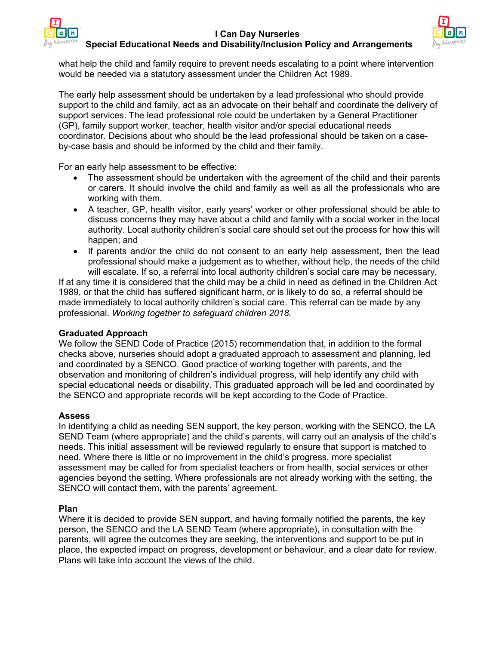

what help the child and family require to prevent needs escalating to a point where intervention would be needed via a statutory assessment under the Children Act 1989.

The early help assessment should be undertaken by a lead professional who should provide support to the child and family, act as an advocate on their behalf and coordinate the delivery of support services. The lead professional role could be undertaken by a General Practitioner (GP), family support worker, teacher, health visitor and/or special educational needs coordinator. Decisions about who should be the lead professional should be taken on a caseby-case basis and should be informed by the child and their family.

For an early help assessment to be effective:

- The assessment should be undertaken with the agreement of the child and their parents or carers. It should involve the child and family as well as all the professionals who are working with them.
- A teacher, GP, health visitor, early years' worker or other professional should be able to discuss concerns they may have about a child and family with a social worker in the local authority. Local authority children's social care should set out the process for how this will happen; and
- If parents and/or the child do not consent to an early help assessment, then the lead professional should make a judgement as to whether, without help, the needs of the child will escalate. If so, a referral into local authority children's social care may be necessary.

If at any time it is considered that the child may be a child in need as defined in the Children Act 1989, or that the child has suffered significant harm, or is likely to do so, a referral should be made immediately to local authority children's social care. This referral can be made by any professional. *Working together to safeguard children 2018.*

## **Graduated Approach**

We follow the SEND Code of Practice (2015) recommendation that, in addition to the formal checks above, nurseries should adopt a graduated approach to assessment and planning, led and coordinated by a SENCO. Good practice of working together with parents, and the observation and monitoring of children's individual progress, will help identify any child with special educational needs or disability. This graduated approach will be led and coordinated by the SENCO and appropriate records will be kept according to the Code of Practice.

## **Assess**

In identifying a child as needing SEN support, the key person, working with the SENCO, the LA SEND Team (where appropriate) and the child's parents, will carry out an analysis of the child's needs. This initial assessment will be reviewed regularly to ensure that support is matched to need. Where there is little or no improvement in the child's progress, more specialist assessment may be called for from specialist teachers or from health, social services or other agencies beyond the setting. Where professionals are not already working with the setting, the SENCO will contact them, with the parents' agreement.

#### **Plan**

Where it is decided to provide SEN support, and having formally notified the parents, the key person, the SENCO and the LA SEND Team (where appropriate), in consultation with the parents, will agree the outcomes they are seeking, the interventions and support to be put in place, the expected impact on progress, development or behaviour, and a clear date for review. Plans will take into account the views of the child.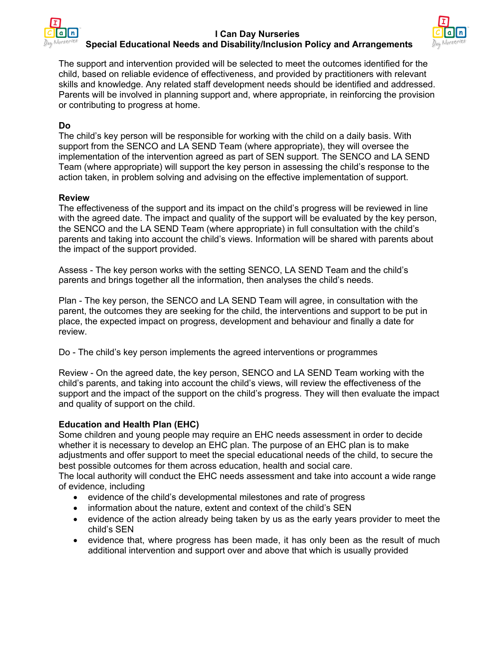



The support and intervention provided will be selected to meet the outcomes identified for the child, based on reliable evidence of effectiveness, and provided by practitioners with relevant skills and knowledge. Any related staff development needs should be identified and addressed. Parents will be involved in planning support and, where appropriate, in reinforcing the provision or contributing to progress at home.

## **Do**

The child's key person will be responsible for working with the child on a daily basis. With support from the SENCO and LA SEND Team (where appropriate), they will oversee the implementation of the intervention agreed as part of SEN support. The SENCO and LA SEND Team (where appropriate) will support the key person in assessing the child's response to the action taken, in problem solving and advising on the effective implementation of support.

#### **Review**

The effectiveness of the support and its impact on the child's progress will be reviewed in line with the agreed date. The impact and quality of the support will be evaluated by the key person, the SENCO and the LA SEND Team (where appropriate) in full consultation with the child's parents and taking into account the child's views. Information will be shared with parents about the impact of the support provided.

Assess - The key person works with the setting SENCO, LA SEND Team and the child's parents and brings together all the information, then analyses the child's needs.

Plan - The key person, the SENCO and LA SEND Team will agree, in consultation with the parent, the outcomes they are seeking for the child, the interventions and support to be put in place, the expected impact on progress, development and behaviour and finally a date for review.

Do - The child's key person implements the agreed interventions or programmes

Review - On the agreed date, the key person, SENCO and LA SEND Team working with the child's parents, and taking into account the child's views, will review the effectiveness of the support and the impact of the support on the child's progress. They will then evaluate the impact and quality of support on the child.

## **Education and Health Plan (EHC)**

Some children and young people may require an EHC needs assessment in order to decide whether it is necessary to develop an EHC plan. The purpose of an EHC plan is to make adjustments and offer support to meet the special educational needs of the child, to secure the best possible outcomes for them across education, health and social care.

The local authority will conduct the EHC needs assessment and take into account a wide range of evidence, including

- evidence of the child's developmental milestones and rate of progress
- information about the nature, extent and context of the child's SEN
- evidence of the action already being taken by us as the early years provider to meet the child's SEN
- evidence that, where progress has been made, it has only been as the result of much additional intervention and support over and above that which is usually provided